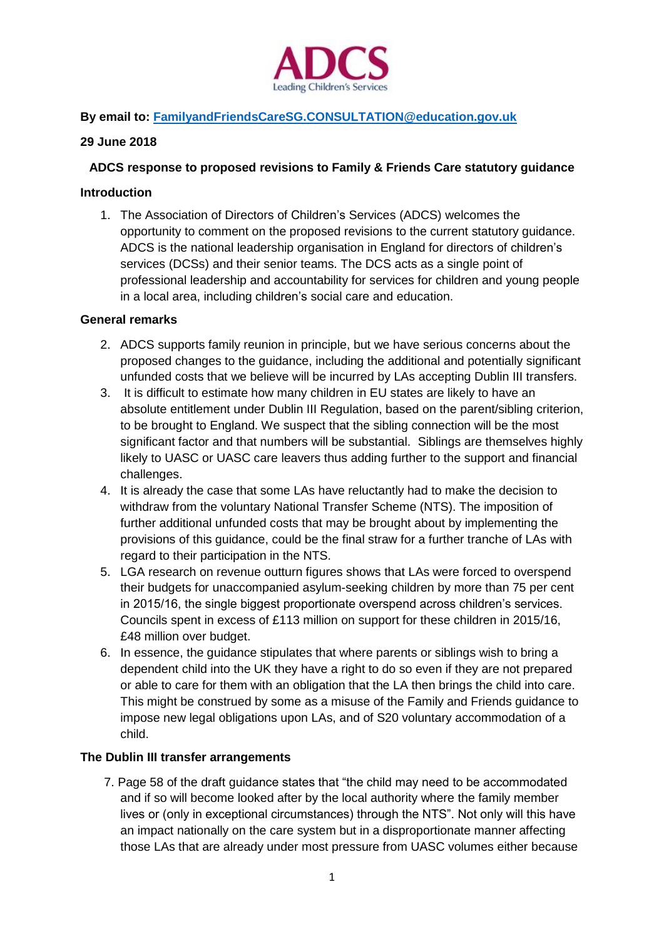

# **By email to: [FamilyandFriendsCareSG.CONSULTATION@education.gov.uk](mailto:FamilyandFriendsCareSG.CONSULTATION@education.gov.uk)**

## **29 June 2018**

### **ADCS response to proposed revisions to Family & Friends Care statutory guidance**

#### **Introduction**

1. The Association of Directors of Children's Services (ADCS) welcomes the opportunity to comment on the proposed revisions to the current statutory guidance. ADCS is the national leadership organisation in England for directors of children's services (DCSs) and their senior teams. The DCS acts as a single point of professional leadership and accountability for services for children and young people in a local area, including children's social care and education.

#### **General remarks**

- 2. ADCS supports family reunion in principle, but we have serious concerns about the proposed changes to the guidance, including the additional and potentially significant unfunded costs that we believe will be incurred by LAs accepting Dublin III transfers.
- 3. It is difficult to estimate how many children in EU states are likely to have an absolute entitlement under Dublin III Regulation, based on the parent/sibling criterion, to be brought to England. We suspect that the sibling connection will be the most significant factor and that numbers will be substantial. Siblings are themselves highly likely to UASC or UASC care leavers thus adding further to the support and financial challenges.
- 4. It is already the case that some LAs have reluctantly had to make the decision to withdraw from the voluntary National Transfer Scheme (NTS). The imposition of further additional unfunded costs that may be brought about by implementing the provisions of this guidance, could be the final straw for a further tranche of LAs with regard to their participation in the NTS.
- 5. LGA research on revenue outturn figures shows that LAs were forced to overspend their budgets for unaccompanied asylum-seeking children by more than 75 per cent in 2015/16, the single biggest proportionate overspend across children's services. Councils spent in excess of £113 million on support for these children in 2015/16, £48 million over budget.
- 6. In essence, the guidance stipulates that where parents or siblings wish to bring a dependent child into the UK they have a right to do so even if they are not prepared or able to care for them with an obligation that the LA then brings the child into care. This might be construed by some as a misuse of the Family and Friends guidance to impose new legal obligations upon LAs, and of S20 voluntary accommodation of a child.

## **The Dublin III transfer arrangements**

7. Page 58 of the draft guidance states that "the child may need to be accommodated and if so will become looked after by the local authority where the family member lives or (only in exceptional circumstances) through the NTS". Not only will this have an impact nationally on the care system but in a disproportionate manner affecting those LAs that are already under most pressure from UASC volumes either because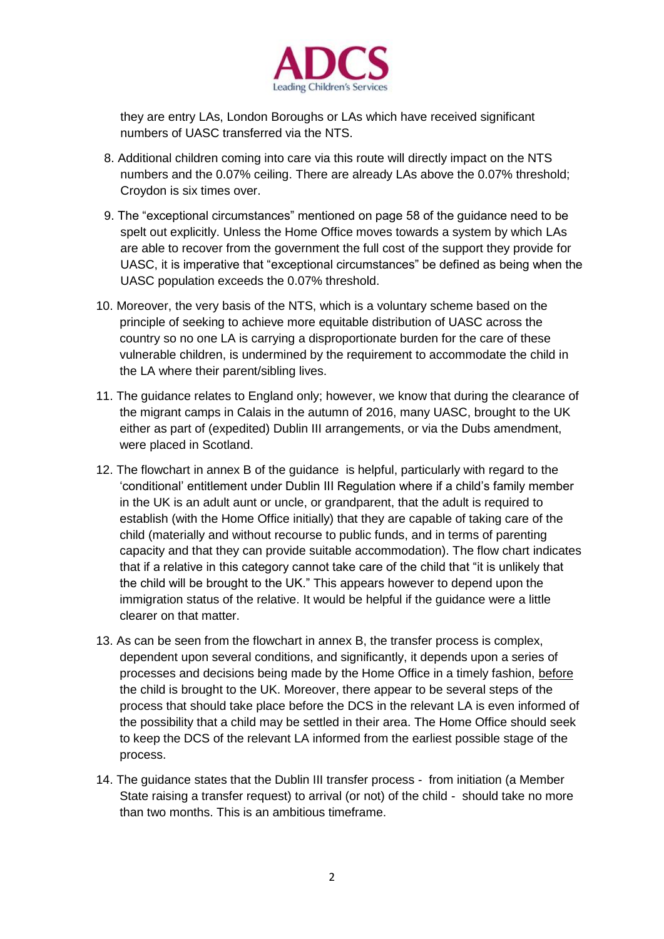

they are entry LAs, London Boroughs or LAs which have received significant numbers of UASC transferred via the NTS.

- 8. Additional children coming into care via this route will directly impact on the NTS numbers and the 0.07% ceiling. There are already LAs above the 0.07% threshold; Croydon is six times over.
- 9. The "exceptional circumstances" mentioned on page 58 of the guidance need to be spelt out explicitly. Unless the Home Office moves towards a system by which LAs are able to recover from the government the full cost of the support they provide for UASC, it is imperative that "exceptional circumstances" be defined as being when the UASC population exceeds the 0.07% threshold.
- 10. Moreover, the very basis of the NTS, which is a voluntary scheme based on the principle of seeking to achieve more equitable distribution of UASC across the country so no one LA is carrying a disproportionate burden for the care of these vulnerable children, is undermined by the requirement to accommodate the child in the LA where their parent/sibling lives.
- 11. The guidance relates to England only; however, we know that during the clearance of the migrant camps in Calais in the autumn of 2016, many UASC, brought to the UK either as part of (expedited) Dublin III arrangements, or via the Dubs amendment, were placed in Scotland.
- 12. The flowchart in annex B of the guidance is helpful, particularly with regard to the 'conditional' entitlement under Dublin III Regulation where if a child's family member in the UK is an adult aunt or uncle, or grandparent, that the adult is required to establish (with the Home Office initially) that they are capable of taking care of the child (materially and without recourse to public funds, and in terms of parenting capacity and that they can provide suitable accommodation). The flow chart indicates that if a relative in this category cannot take care of the child that "it is unlikely that the child will be brought to the UK." This appears however to depend upon the immigration status of the relative. It would be helpful if the guidance were a little clearer on that matter.
- 13. As can be seen from the flowchart in annex B, the transfer process is complex, dependent upon several conditions, and significantly, it depends upon a series of processes and decisions being made by the Home Office in a timely fashion, before the child is brought to the UK. Moreover, there appear to be several steps of the process that should take place before the DCS in the relevant LA is even informed of the possibility that a child may be settled in their area. The Home Office should seek to keep the DCS of the relevant LA informed from the earliest possible stage of the process.
- 14. The guidance states that the Dublin III transfer process from initiation (a Member State raising a transfer request) to arrival (or not) of the child - should take no more than two months. This is an ambitious timeframe.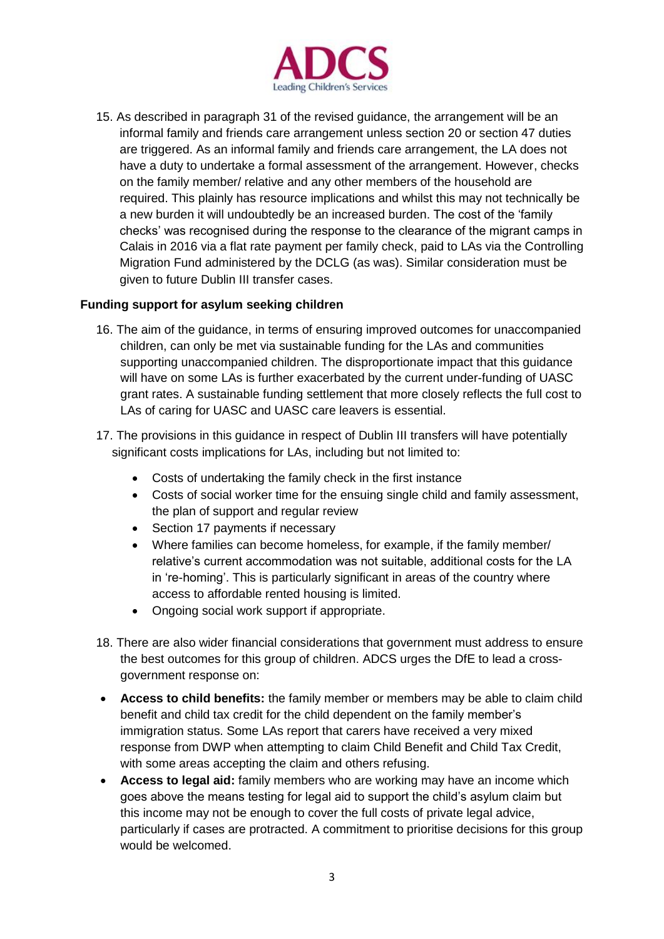

15. As described in paragraph 31 of the revised guidance, the arrangement will be an informal family and friends care arrangement unless section 20 or section 47 duties are triggered. As an informal family and friends care arrangement, the LA does not have a duty to undertake a formal assessment of the arrangement. However, checks on the family member/ relative and any other members of the household are required. This plainly has resource implications and whilst this may not technically be a new burden it will undoubtedly be an increased burden. The cost of the 'family checks' was recognised during the response to the clearance of the migrant camps in Calais in 2016 via a flat rate payment per family check, paid to LAs via the Controlling Migration Fund administered by the DCLG (as was). Similar consideration must be given to future Dublin III transfer cases.

## **Funding support for asylum seeking children**

- 16. The aim of the guidance, in terms of ensuring improved outcomes for unaccompanied children, can only be met via sustainable funding for the LAs and communities supporting unaccompanied children. The disproportionate impact that this guidance will have on some LAs is further exacerbated by the current under-funding of UASC grant rates. A sustainable funding settlement that more closely reflects the full cost to LAs of caring for UASC and UASC care leavers is essential.
- 17. The provisions in this guidance in respect of Dublin III transfers will have potentially significant costs implications for LAs, including but not limited to:
	- Costs of undertaking the family check in the first instance
	- Costs of social worker time for the ensuing single child and family assessment, the plan of support and regular review
	- Section 17 payments if necessary
	- Where families can become homeless, for example, if the family member/ relative's current accommodation was not suitable, additional costs for the LA in 're-homing'. This is particularly significant in areas of the country where access to affordable rented housing is limited.
	- Ongoing social work support if appropriate.
- 18. There are also wider financial considerations that government must address to ensure the best outcomes for this group of children. ADCS urges the DfE to lead a crossgovernment response on:
- **Access to child benefits:** the family member or members may be able to claim child benefit and child tax credit for the child dependent on the family member's immigration status. Some LAs report that carers have received a very mixed response from DWP when attempting to claim Child Benefit and Child Tax Credit, with some areas accepting the claim and others refusing.
- **Access to legal aid:** family members who are working may have an income which goes above the means testing for legal aid to support the child's asylum claim but this income may not be enough to cover the full costs of private legal advice, particularly if cases are protracted. A commitment to prioritise decisions for this group would be welcomed.